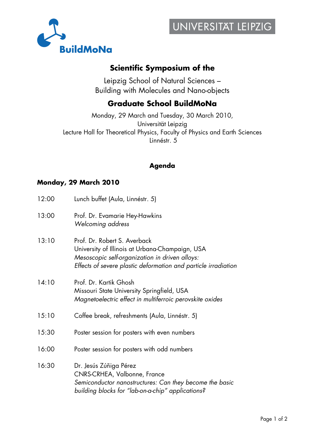

# **Scientific Symposium of the**

Leipzig School of Natural Sciences – Building with Molecules and Nano-objects

## **Graduate School BuildMoNa**

Monday, 29 March and Tuesday, 30 March 2010, Universität Leipzig Lecture Hall for Theoretical Physics, Faculty of Physics and Earth Sciences Linnéstr. 5

## **Agenda**

#### **Monday, 29 March 2010**

| 12:00 | Lunch buffet (Aula, Linnéstr. 5)                                                                                                                                                                    |
|-------|-----------------------------------------------------------------------------------------------------------------------------------------------------------------------------------------------------|
| 13:00 | Prof. Dr. Evamarie Hey-Hawkins<br>Welcoming address                                                                                                                                                 |
| 13:10 | Prof. Dr. Robert S. Averback<br>University of Illinois at Urbana-Champaign, USA<br>Mesoscopic self-organization in driven alloys:<br>Effects of severe plastic deformation and particle irradiation |
| 14:10 | Prof. Dr. Kartik Ghosh<br>Missouri State University Springfield, USA<br>Magnetoelectric effect in multiferroic perovskite oxides                                                                    |
| 15:10 | Coffee break, refreshments (Aula, Linnéstr. 5)                                                                                                                                                      |
| 15:30 | Poster session for posters with even numbers                                                                                                                                                        |
| 16:00 | Poster session for posters with odd numbers                                                                                                                                                         |
| 16:30 | Dr. Jesús Zúñiga Pérez<br>CNRS-CRHEA, Valbonne, France<br>Semiconductor nanostructures: Can they become the basic<br>building blocks for "lab-on-a-chip" applications?                              |